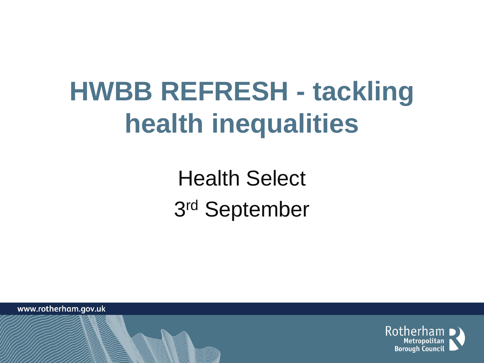### **HWBB REFRESH - tackling health inequalities**

Health Select 3 rd September

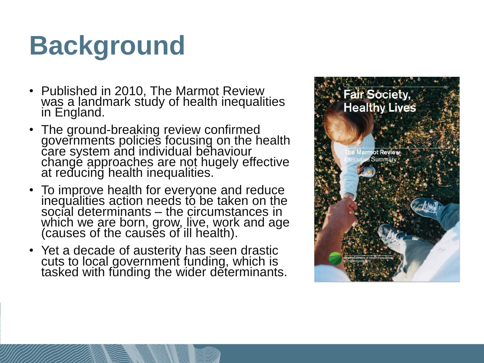### **Background**

- Published in 2010, The Marmot Review was a landmark study of health inequalities in England.
- The ground-breaking review confirmed governments policies focusing on the health care system and individual behaviour change approaches are not hugely effective at reducing health inequalities.`
- To improve health for everyone and reduce inequalities action needs to be taken on the social determinants – the circumstances in which we are born, grow, live, work and age (causes of the causes of ill health).
- Yet a decade of austerity has seen drastic cuts to local government funding, which is tasked with fŭnding the wider determinants.

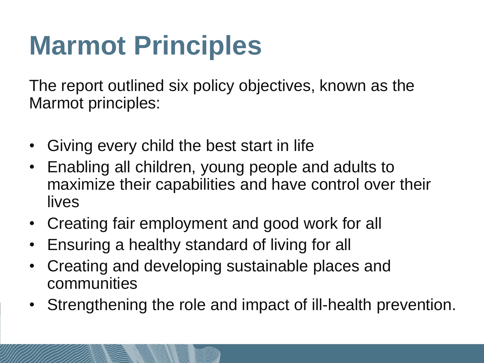# **Marmot Principles**

The report outlined six policy objectives, known as the Marmot principles:

- Giving every child the best start in life
- Enabling all children, young people and adults to maximize their capabilities and have control over their lives
- Creating fair employment and good work for all
- Ensuring a healthy standard of living for all
- Creating and developing sustainable places and communities
- Strengthening the role and impact of ill-health prevention.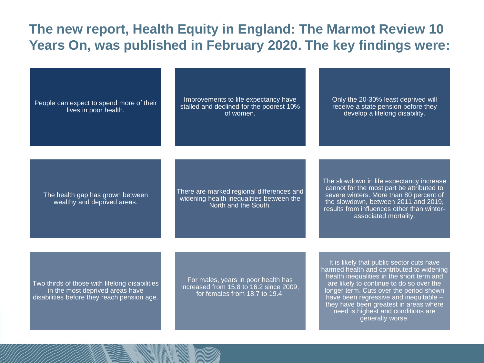### **The new report, Health Equity in England: The Marmot Review 10 Years On, was published in February 2020. The key findings were:**

People can expect to spend more of their lives in poor health.

Improvements to life expectancy have stalled and declined for the poorest 10% of women.

Only the 20-30% least deprived will receive a state pension before they develop a lifelong disability.

The health gap has grown between wealthy and deprived areas.

There are marked regional differences and widening health inequalities between the North and the South.

The slowdown in life expectancy increase cannot for the most part be attributed to severe winters. More than 80 percent of the slowdown, between 2011 and 2019, results from influences other than winterassociated mortality.

Two thirds of those with lifelong disabilities in the most deprived areas have disabilities before they reach pension age.

For males, years in poor health has increased from 15.8 to 16.2 since 2009, for females from 18.7 to 19.4.

It is likely that public sector cuts have harmed health and contributed to widening health inequalities in the short term and are likely to continue to do so over the longer term. Cuts over the period shown have been regressive and inequitable – they have been greatest in areas where need is highest and conditions are generally worse.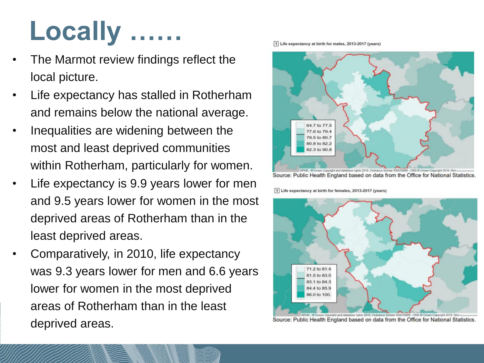# Locally

- The Marmot review findings reflect the local picture.
- Life expectancy has stalled in Rotherham and remains below the national average.
- Inequalities are widening between the most and least deprived communities within Rotherham, particularly for women.
- Life expectancy is 9.9 years lower for men and 9.5 years lower for women in the most deprived areas of Rotherham than in the least deprived areas.
- Comparatively, in 2010, life expectancy was 9.3 years lower for men and 6.6 years lower for women in the most deprived areas of Rotherham than in the least deprived areas.

1 Life expectancy at birth for males, 2013-2017 (years)



1 Life expectancy at birth for females, 2013-2017 (years)



Source: Public Health England based on data from the Office for National Statistics.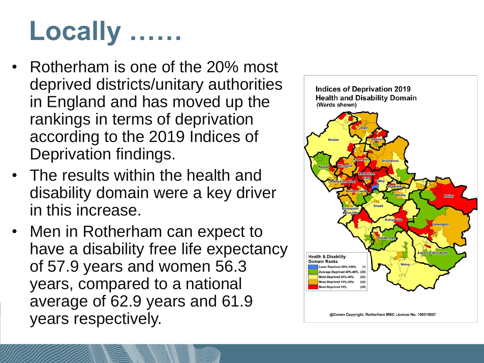## **Locally ……**

- Rotherham is one of the 20% most deprived districts/unitary authorities in England and has moved up the rankings in terms of deprivation according to the 2019 Indices of Deprivation findings.
- The results within the health and disability domain were a key driver in this increase.
- Men in Rotherham can expect to have a disability free life expectancy of 57.9 years and women 56.3 years, compared to a national average of 62.9 years and 61.9 years respectively.

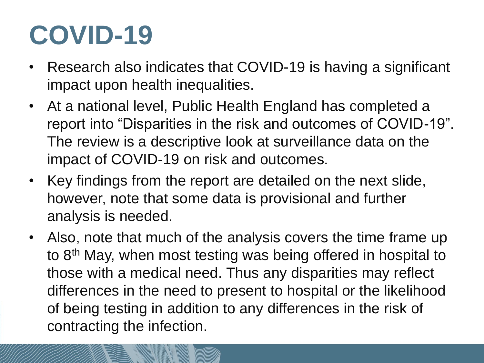## **COVID-19**

- Research also indicates that COVID-19 is having a significant impact upon health inequalities.
- At a national level, Public Health England has completed a report into "Disparities in the risk and outcomes of COVID-19". The review is a descriptive look at surveillance data on the impact of COVID-19 on risk and outcomes.
- Key findings from the report are detailed on the next slide, however, note that some data is provisional and further analysis is needed.
- Also, note that much of the analysis covers the time frame up to 8<sup>th</sup> May, when most testing was being offered in hospital to those with a medical need. Thus any disparities may reflect differences in the need to present to hospital or the likelihood of being testing in addition to any differences in the risk of contracting the infection.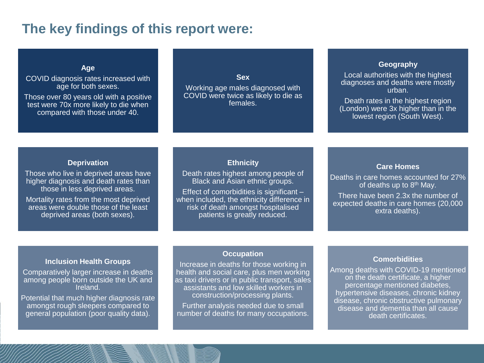### **The key findings of this report were:**

**Age**

COVID diagnosis rates increased with age for both sexes.

Those over 80 years old with a positive test were 70x more likely to die when compared with those under 40.

#### **Sex**

Working age males diagnosed with COVID were twice as likely to die as females.

#### **Geography**

Local authorities with the highest diagnoses and deaths were mostly urban.

Death rates in the highest region (London) were 3x higher than in the lowest region (South West).

#### **Deprivation**

Those who live in deprived areas have higher diagnosis and death rates than those in less deprived areas.

Mortality rates from the most deprived areas were double those of the least deprived areas (both sexes).

#### **Ethnicity**

Death rates highest among people of Black and Asian ethnic groups.

Effect of comorbidities is significant – when included, the ethnicity difference in risk of death amongst hospitalised patients is greatly reduced.

#### **Care Homes**

Deaths in care homes accounted for 27% of deaths up to  $8<sup>th</sup>$  May.

There have been 2.3x the number of expected deaths in care homes (20,000 extra deaths).

#### **Inclusion Health Groups**

Comparatively larger increase in deaths among people born outside the UK and Ireland.

Potential that much higher diagnosis rate amongst rough sleepers compared to general population (poor quality data).

#### **Occupation**

Increase in deaths for those working in health and social care, plus men working as taxi drivers or in public transport, sales assistants and low skilled workers in construction/processing plants.

Further analysis needed due to small number of deaths for many occupations.

#### **Comorbidities**

Among deaths with COVID-19 mentioned on the death certificate, a higher percentage mentioned diabetes, hypertensive diseases, chronic kidney disease, chronic obstructive pulmonary disease and dementia than all cause death certificates.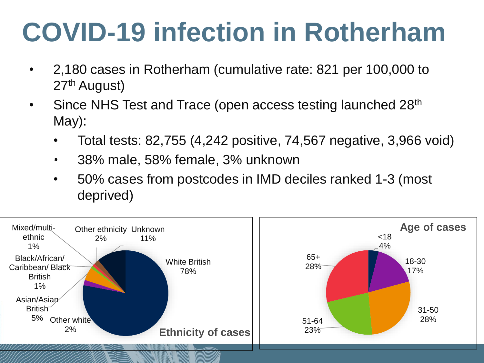### **COVID-19 infection in Rotherham**

- 2,180 cases in Rotherham (cumulative rate: 821 per 100,000 to 27th August)
- Since NHS Test and Trace (open access testing launched 28<sup>th</sup> May):
	- Total tests:  $82,755$  (4,242 positive, 74,567 negative, 3,966 void)
	- 38% male, 58% female, 3% unknown  $\bullet$
	- 50% cases from postcodes in IMD deciles ranked 1-3 (most deprived)

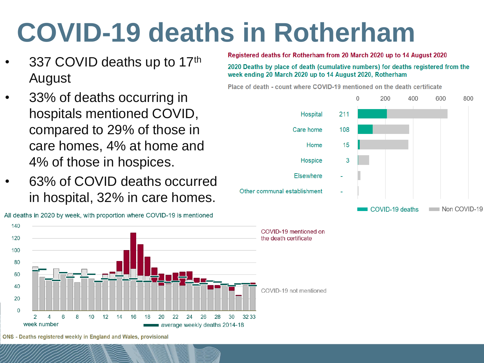### **COVID-19 deaths in Rotherham**

- 337 COVID deaths up to 17th August
- 33% of deaths occurring in hospitals mentioned COVID, compared to 29% of those in care homes, 4% at home and 4% of those in hospices.
- 63% of COVID deaths occurred in hospital, 32% in care homes.



All deaths in 2020 by week, with proportion where COVID-19 is mentioned

Registered deaths for Rotherham from 20 March 2020 up to 14 August 2020

2020 Deaths by place of death (cumulative numbers) for deaths registered from the week ending 20 March 2020 up to 14 August 2020, Rotherham

Place of death - count where COVID-19 mentioned on the death certificate



ONS - Deaths registered weekly in England and Wales, provisional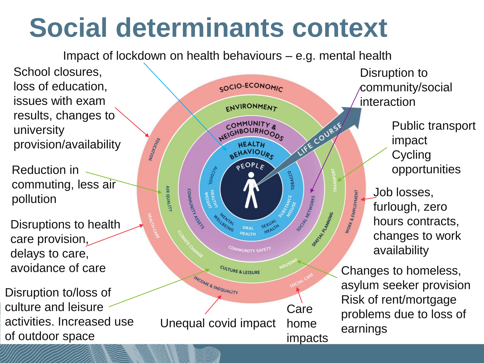### **Social determinants context**

Impact of lockdown on health behaviours – e.g. mental health

School closures, loss of education, issues with exam results, changes to university provision/availability

Reduction in commuting, less air pollution

Disruptions to health care provision, delays to care, avoidance of care

Disruption to/loss of culture and leisure activities. Increased use of outdoor space



Public transport impact community/social interaction

> **Cycling** opportunities

Job losses, furlough, zero hours contracts, changes to work availability

Changes to homeless, asylum seeker provision Risk of rent/mortgage problems due to loss of earnings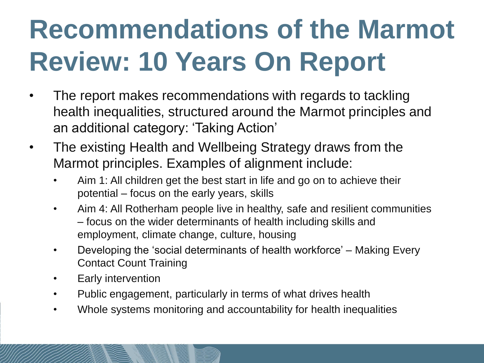# **Recommendations of the Marmot Review: 10 Years On Report**

- The report makes recommendations with regards to tackling health inequalities, structured around the Marmot principles and an additional category: 'Taking Action'
- The existing Health and Wellbeing Strategy draws from the Marmot principles. Examples of alignment include:
	- Aim 1: All children get the best start in life and go on to achieve their potential – focus on the early years, skills
	- Aim 4: All Rotherham people live in healthy, safe and resilient communities – focus on the wider determinants of health including skills and employment, climate change, culture, housing
	- Developing the 'social determinants of health workforce' Making Every Contact Count Training
	- Early intervention
	- Public engagement, particularly in terms of what drives health
	- Whole systems monitoring and accountability for health inequalities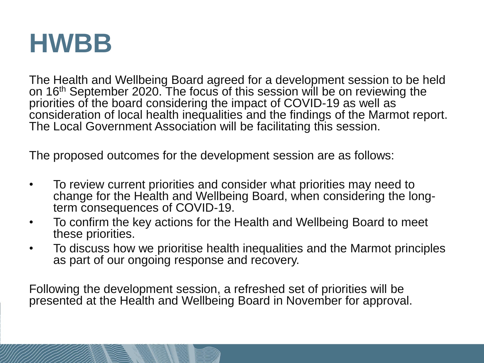### **HWBB**

The Health and Wellbeing Board agreed for a development session to be held on 16<sup>th</sup> September 2020. The focus of this session will be on reviewing the priorities of the board considering the impact of COVID-19 as well as consideration of local health inequalities and the findings of the Marmot report. The Local Government Association will be facilitating this session.

The proposed outcomes for the development session are as follows:

- To review current priorities and consider what priorities may need to change for the Health and Wellbeing Board, when considering the longterm consequences of COVID-19.
- To confirm the key actions for the Health and Wellbeing Board to meet these priorities.
- To discuss how we prioritise health inequalities and the Marmot principles as part of our ongoing response and recovery.

Following the development session, a refreshed set of priorities will be presented at the Health and Wellbeing Board in November for approval.